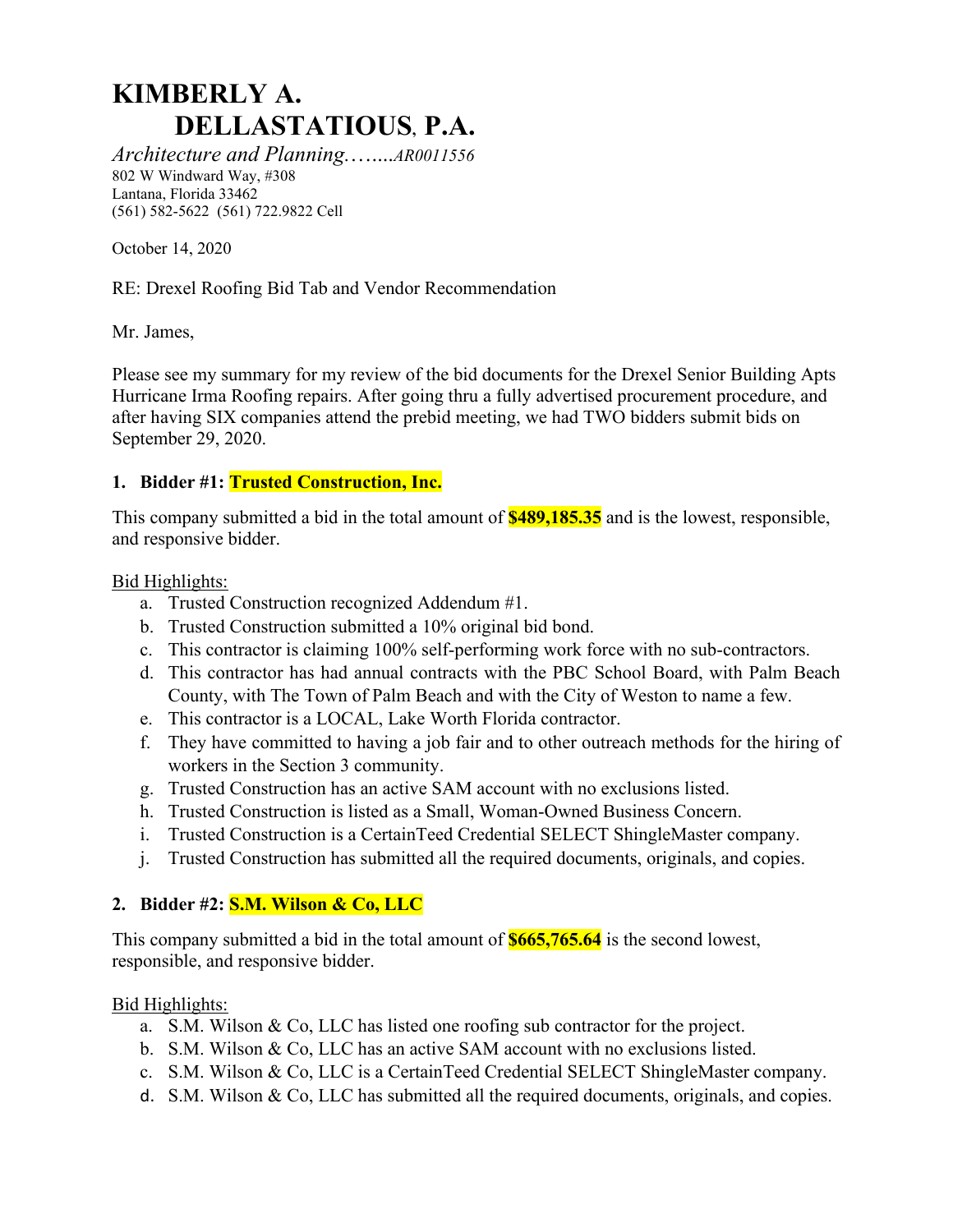## **KIMBERLY A. DELLASTATIOUS, P.A.**

*Architecture and Planning.*…....*AR0011556* 802 W Windward Way, #308 Lantana, Florida 33462 (561) 582-5622 (561) 722.9822 Cell

October 14, 2020

RE: Drexel Roofing Bid Tab and Vendor Recommendation

Mr. James,

Please see my summary for my review of the bid documents for the Drexel Senior Building Apts Hurricane Irma Roofing repairs. After going thru a fully advertised procurement procedure, and after having SIX companies attend the prebid meeting, we had TWO bidders submit bids on September 29, 2020.

## **1. Bidder #1: Trusted Construction, Inc.**

This company submitted a bid in the total amount of **\$489,185.35** and is the lowest, responsible, and responsive bidder.

Bid Highlights:

- a. Trusted Construction recognized Addendum #1.
- b. Trusted Construction submitted a 10% original bid bond.
- c. This contractor is claiming 100% self-performing work force with no sub-contractors.
- d. This contractor has had annual contracts with the PBC School Board, with Palm Beach County, with The Town of Palm Beach and with the City of Weston to name a few.
- e. This contractor is a LOCAL, Lake Worth Florida contractor.
- f. They have committed to having a job fair and to other outreach methods for the hiring of workers in the Section 3 community.
- g. Trusted Construction has an active SAM account with no exclusions listed.
- h. Trusted Construction is listed as a Small, Woman-Owned Business Concern.
- i. Trusted Construction is a CertainTeed Credential SELECT ShingleMaster company.
- j. Trusted Construction has submitted all the required documents, originals, and copies.

## **2. Bidder #2: S.M. Wilson & Co, LLC**

This company submitted a bid in the total amount of **\$665,765.64** is the second lowest, responsible, and responsive bidder.

## Bid Highlights:

- a. S.M. Wilson & Co, LLC has listed one roofing sub contractor for the project.
- b. S.M. Wilson & Co, LLC has an active SAM account with no exclusions listed.
- c. S.M. Wilson & Co, LLC is a CertainTeed Credential SELECT ShingleMaster company.
- d. S.M. Wilson  $& Co, LLC$  has submitted all the required documents, originals, and copies.